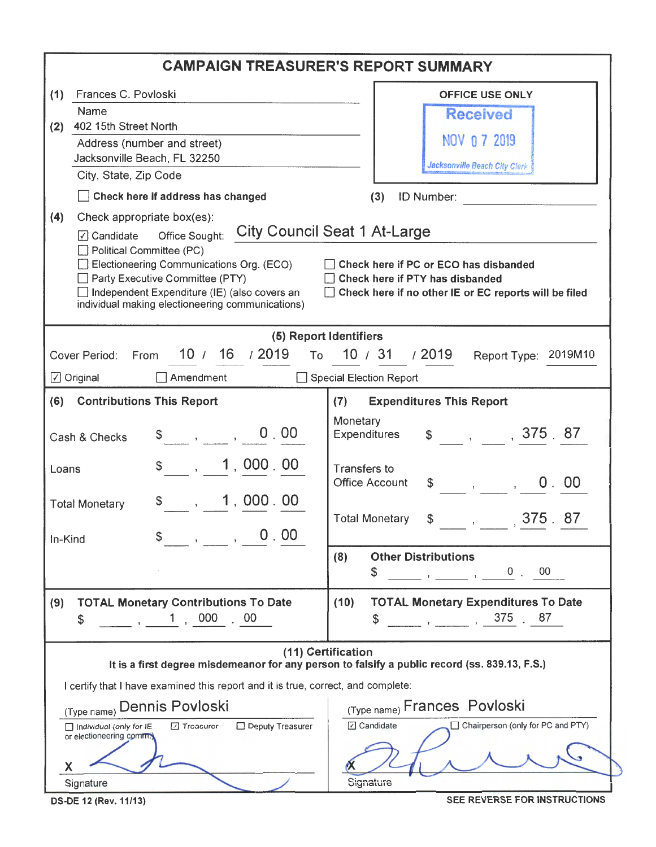| <b>CAMPAIGN TREASURER'S REPORT SUMMARY</b>                                                                                                                                                                                                                                                                                                                                                                                                                                                                                                                                                                           |                                                                                                                                                                                                                                                                                                                                                                                                                                                                          |                                                                                                                                                                                                                                                                                                                                                                                                                                                                                               |  |  |  |
|----------------------------------------------------------------------------------------------------------------------------------------------------------------------------------------------------------------------------------------------------------------------------------------------------------------------------------------------------------------------------------------------------------------------------------------------------------------------------------------------------------------------------------------------------------------------------------------------------------------------|--------------------------------------------------------------------------------------------------------------------------------------------------------------------------------------------------------------------------------------------------------------------------------------------------------------------------------------------------------------------------------------------------------------------------------------------------------------------------|-----------------------------------------------------------------------------------------------------------------------------------------------------------------------------------------------------------------------------------------------------------------------------------------------------------------------------------------------------------------------------------------------------------------------------------------------------------------------------------------------|--|--|--|
| (1)<br>(2)<br>(4)                                                                                                                                                                                                                                                                                                                                                                                                                                                                                                                                                                                                    | Frances C. Povloski<br>Name<br>402 15th Street North<br>Address (number and street)<br>Jacksonville Beach, FL 32250<br>City, State, Zip Code<br>Check here if address has changed<br>Check appropriate box(es):<br>Office Sought:<br>$\sqrt{ }$ Candidate<br>Political Committee (PC)<br>Electioneering Communications Org. (ECO)<br>Party Executive Committee (PTY)<br>Independent Expenditure (IE) (also covers an<br>individual making electioneering communications) | <b>OFFICE USE ONLY</b><br><b>Received</b><br>NOV 0 7 2019<br>Jacksonville Beach City Clerk<br>ID Number:<br>(3)<br><b>City Council Seat 1 At-Large</b><br>Check here if PC or ECO has disbanded<br>Check here if PTY has disbanded<br>Check here if no other IE or EC reports will be filed                                                                                                                                                                                                   |  |  |  |
| $\Box$ Original<br>(6)<br>Loans<br>In-Kind                                                                                                                                                                                                                                                                                                                                                                                                                                                                                                                                                                           | 10 / 16 / 2019<br>Cover Period:<br>From<br>Amendment<br><b>Contributions This Report</b><br>0.00<br>$\begin{array}{ccc} \text{\$} & \text{\$} & \text{\$} \end{array}$<br>Cash & Checks<br>1,000.00<br>$\,$ , 1,000.00<br><b>Total Monetary</b><br>0.00<br>$\mathbf{r}$ and $\mathbf{r}$                                                                                                                                                                                 | (5) Report Identifiers<br>To 10 / 31 / 2019<br>Report Type: 2019M10<br>Special Election Report<br><b>Expenditures This Report</b><br>(7)<br>Monetary<br>$\frac{1}{2}$ , , 375 87<br>Expenditures<br><b>Transfers to</b><br><b>Office Account</b><br>0.00<br>$\begin{array}{ccccccc}\n\mathfrak{S} & & & , & & ,\n\end{array}$<br><b>Total Monetary</b><br>375.<br>87<br><b>Other Distributions</b><br>(8)<br>0, 00<br>\$<br>$\begin{array}{ccc} \cdot & \cdot & \cdot & \cdot \\ \end{array}$ |  |  |  |
| <b>TOTAL Monetary Expenditures To Date</b><br><b>TOTAL Monetary Contributions To Date</b><br>(10)<br>(9)<br>$\sim$ , , , , 375, 87<br>$1,000$ 00<br>\$<br>\$<br>(11) Certification<br>It is a first degree misdemeanor for any person to falsify a public record (ss. 839.13, F.S.)<br>I certify that I have examined this report and it is true, correct, and complete:<br>(Type name) Frances Povloski<br>(Type name) Dennis Povloski<br>☑ Candidate<br>Chairperson (only for PC and PTY)<br>Deputy Treasurer<br>Individual (only for IE<br>□ Treasurer<br>or electioneering comm.)<br>X<br>Signature<br>Signature |                                                                                                                                                                                                                                                                                                                                                                                                                                                                          |                                                                                                                                                                                                                                                                                                                                                                                                                                                                                               |  |  |  |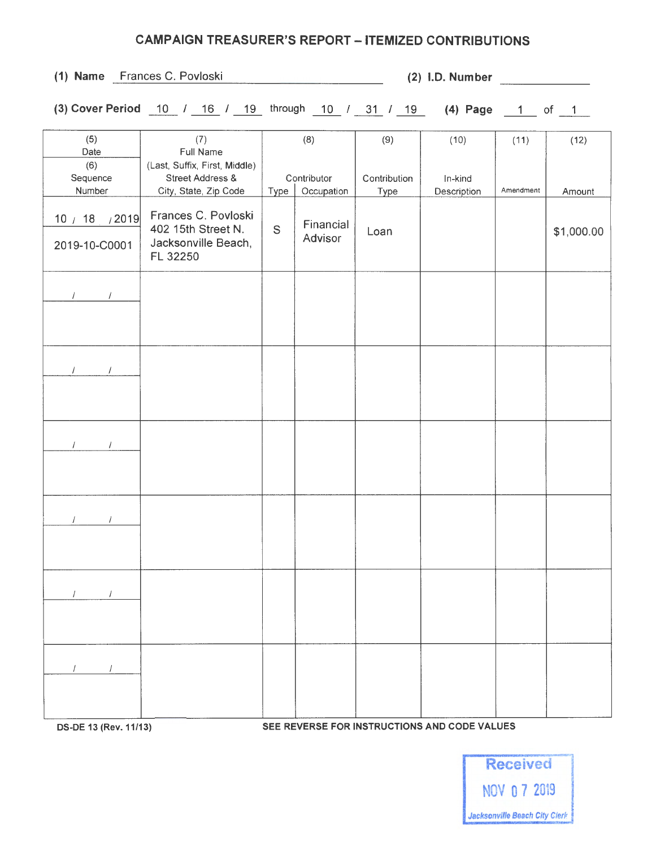## CAMPAIGN TREASURER'S REPORT - ITEMIZED CONTRIBUTIONS

(3) Cover Period  $\frac{10}{16}$  /  $\frac{16}{19}$  through  $\frac{10}{10}$  /  $\frac{31}{19}$  /  $\frac{19}{19}$  (4) Page  $\frac{1}{19}$  of  $\frac{1}{19}$ 

| $(1)$ Name | Frances C. Povloski |  |
|------------|---------------------|--|
|            |                     |  |

 $(2)$  l.D. Number

| (5)<br>Date                       | (7)<br><b>Full Name</b>                                                               |                                   | (8)                  | (9)                  | (10)                   | (11)      | (12)       |
|-----------------------------------|---------------------------------------------------------------------------------------|-----------------------------------|----------------------|----------------------|------------------------|-----------|------------|
| (6)<br>Sequence<br>Number         | (Last, Suffix, First, Middle)<br><b>Street Address &amp;</b><br>City, State, Zip Code | Contributor<br>Occupation<br>Type |                      | Contribution<br>Type | In-kind<br>Description | Amendment | Amount     |
| 10 / 18<br>/2019<br>2019-10-C0001 | Frances C. Povloski<br>402 15th Street N.<br>Jacksonville Beach,<br>FL 32250          | S                                 | Financial<br>Advisor | Loan                 |                        |           | \$1,000.00 |
| $\left  \right $<br>$\prime$      |                                                                                       |                                   |                      |                      |                        |           |            |
| $\prime$                          |                                                                                       |                                   |                      |                      |                        |           |            |
|                                   |                                                                                       |                                   |                      |                      |                        |           |            |
| $\mathcal{L}$ and $\mathcal{L}$   |                                                                                       |                                   |                      |                      |                        |           |            |

 $I = I$ 

 $\sqrt{1}$ 

 $I = I$ 

OS-DE 13 (Rev. 11/13) SEE REVERSE FOR INSTRUCTIONS AND CODE VALUES

Received NOV O 7 2019 Jacksonville Beach City Clerk